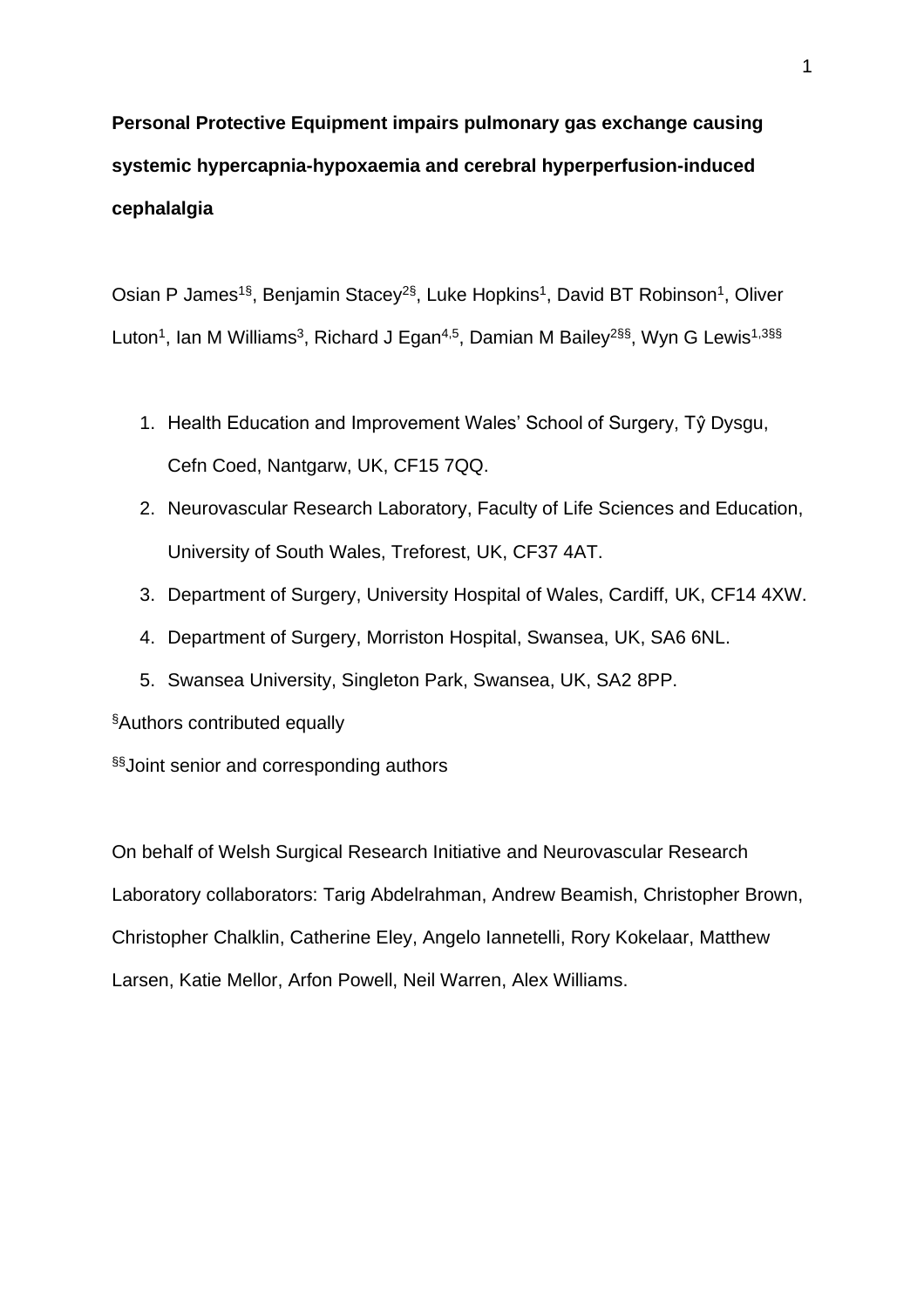# **Personal Protective Equipment impairs pulmonary gas exchange causing systemic hypercapnia-hypoxaemia and cerebral hyperperfusion-induced cephalalgia**

Osian P James<sup>1§</sup>, Benjamin Stacey<sup>2§</sup>, Luke Hopkins<sup>1</sup>, David BT Robinson<sup>1</sup>, Oliver Luton<sup>1</sup>, Ian M Williams<sup>3</sup>, Richard J Egan<sup>4,5</sup>, Damian M Bailey<sup>2§§</sup>, Wyn G Lewis<sup>1,3§§</sup>

- 1. Health Education and Improvement Wales' School of Surgery, Tŷ Dysgu, Cefn Coed, Nantgarw, UK, CF15 7QQ.
- 2. Neurovascular Research Laboratory, Faculty of Life Sciences and Education, University of South Wales, Treforest, UK, CF37 4AT.
- 3. Department of Surgery, University Hospital of Wales, Cardiff, UK, CF14 4XW.
- 4. Department of Surgery, Morriston Hospital, Swansea, UK, SA6 6NL.
- 5. Swansea University, Singleton Park, Swansea, UK, SA2 8PP.

§Authors contributed equally

§§ Joint senior and corresponding authors

On behalf of Welsh Surgical Research Initiative and Neurovascular Research Laboratory collaborators: Tarig Abdelrahman, Andrew Beamish, Christopher Brown, Christopher Chalklin, Catherine Eley, Angelo Iannetelli, Rory Kokelaar, Matthew Larsen, Katie Mellor, Arfon Powell, Neil Warren, Alex Williams.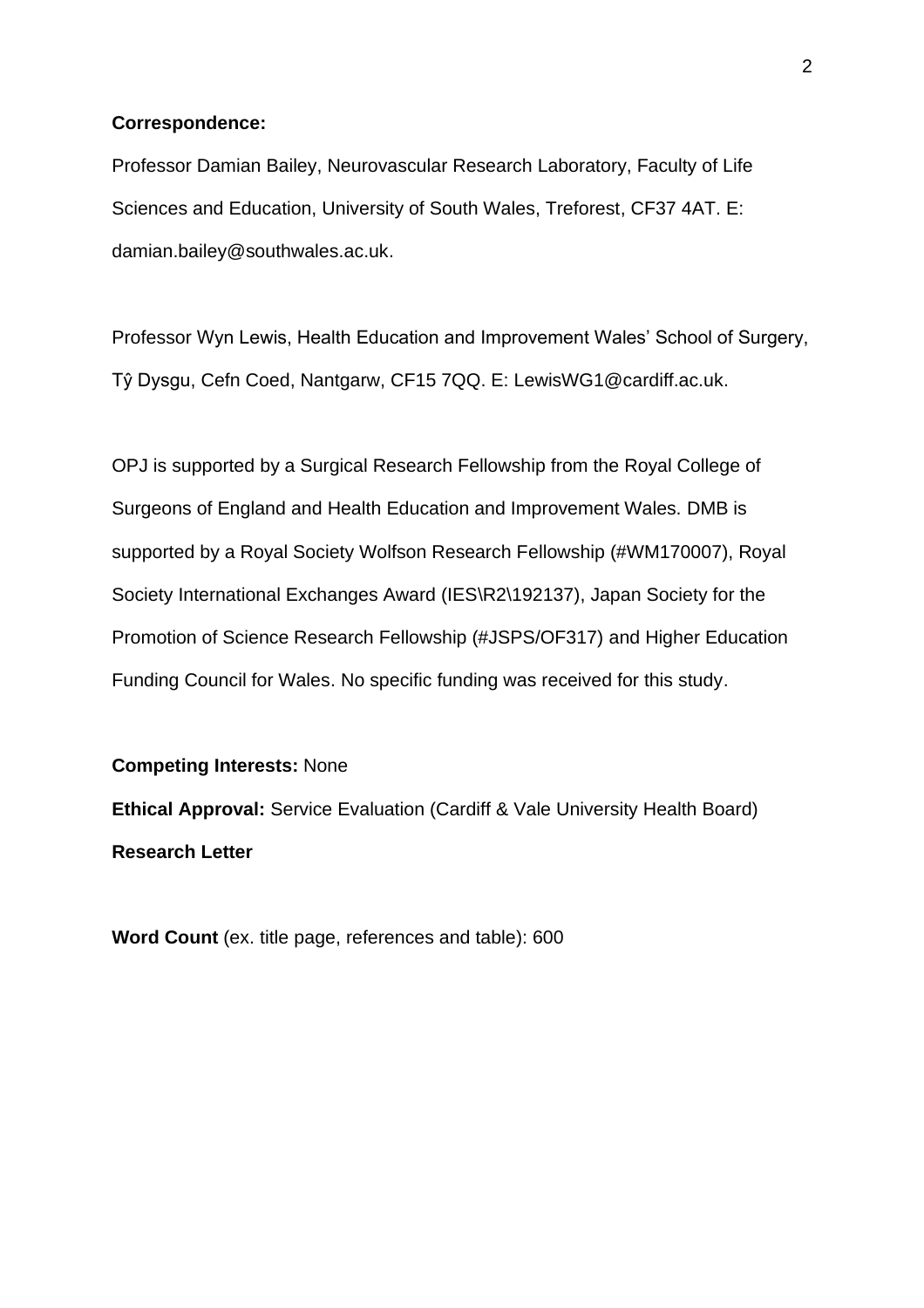#### **Correspondence:**

Professor Damian Bailey, Neurovascular Research Laboratory, Faculty of Life Sciences and Education, University of South Wales, Treforest, CF37 4AT. E: damian.bailey@southwales.ac.uk.

Professor Wyn Lewis, Health Education and Improvement Wales' School of Surgery, Tŷ Dysgu, Cefn Coed, Nantgarw, CF15 7QQ. E: LewisWG1@cardiff.ac.uk.

OPJ is supported by a Surgical Research Fellowship from the Royal College of Surgeons of England and Health Education and Improvement Wales. DMB is supported by a Royal Society Wolfson Research Fellowship (#WM170007), Royal Society International Exchanges Award (IES\R2\192137), Japan Society for the Promotion of Science Research Fellowship (#JSPS/OF317) and Higher Education Funding Council for Wales. No specific funding was received for this study.

#### **Competing Interests:** None

**Ethical Approval:** Service Evaluation (Cardiff & Vale University Health Board) **Research Letter**

**Word Count** (ex. title page, references and table): 600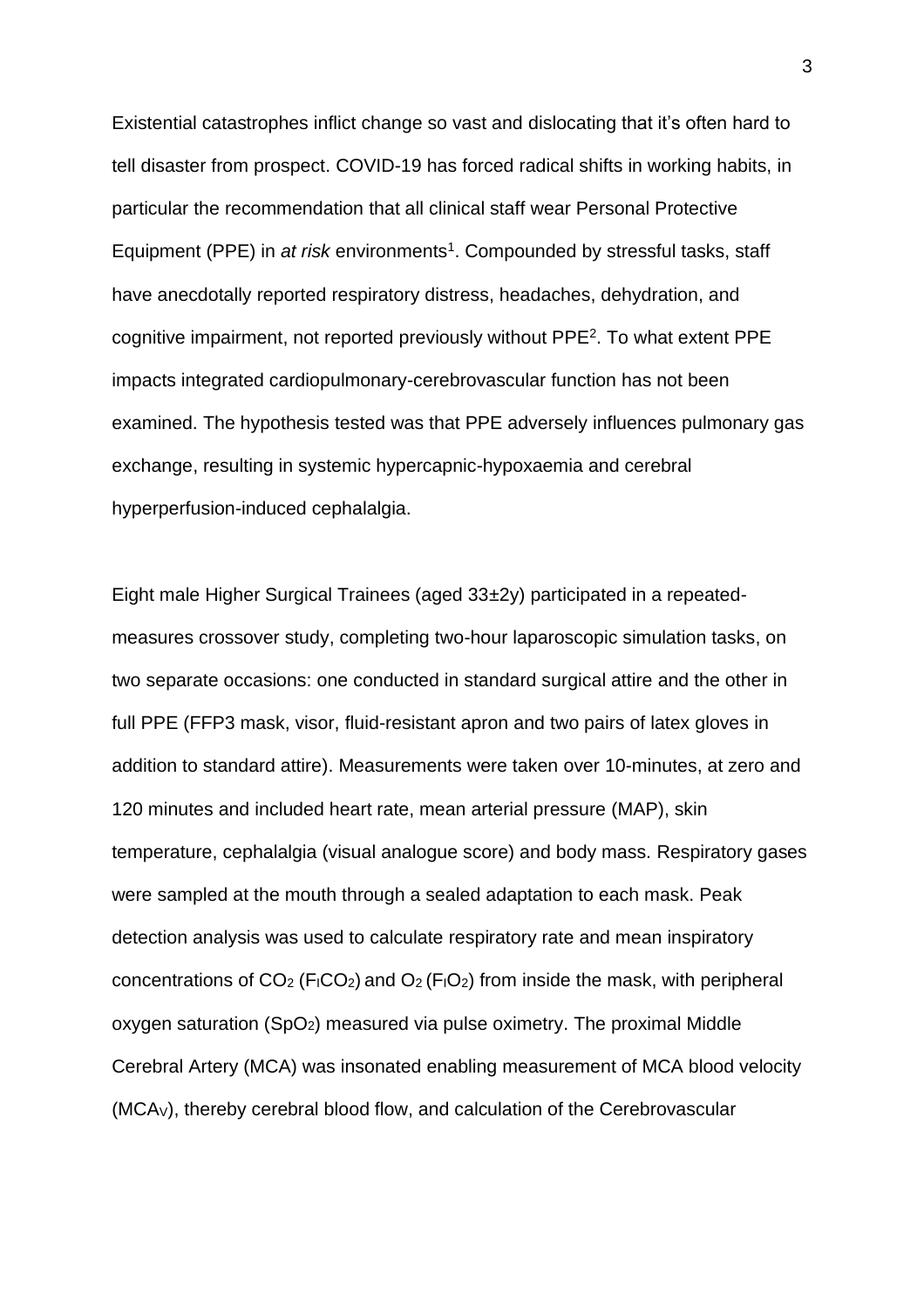Existential catastrophes inflict change so vast and dislocating that it's often hard to tell disaster from prospect. COVID-19 has forced radical shifts in working habits, in particular the recommendation that all clinical staff wear Personal Protective Equipment (PPE) in *at risk* environments<sup>1</sup>. Compounded by stressful tasks, staff have anecdotally reported respiratory distress, headaches, dehydration, and cognitive impairment, not reported previously without PPE<sup>2</sup> . To what extent PPE impacts integrated cardiopulmonary-cerebrovascular function has not been examined. The hypothesis tested was that PPE adversely influences pulmonary gas exchange, resulting in systemic hypercapnic-hypoxaemia and cerebral hyperperfusion-induced cephalalgia.

Eight male Higher Surgical Trainees (aged 33±2y) participated in a repeatedmeasures crossover study, completing two-hour laparoscopic simulation tasks, on two separate occasions: one conducted in standard surgical attire and the other in full PPE (FFP3 mask, visor, fluid-resistant apron and two pairs of latex gloves in addition to standard attire). Measurements were taken over 10-minutes, at zero and 120 minutes and included heart rate, mean arterial pressure (MAP), skin temperature, cephalalgia (visual analogue score) and body mass. Respiratory gases were sampled at the mouth through a sealed adaptation to each mask. Peak detection analysis was used to calculate respiratory rate and mean inspiratory concentrations of  $CO<sub>2</sub>$  (F<sub>I</sub>CO<sub>2</sub>) and  $O<sub>2</sub>$  (F<sub>I</sub>O<sub>2</sub>) from inside the mask, with peripheral oxygen saturation  $(SpO<sub>2</sub>)$  measured via pulse oximetry. The proximal Middle Cerebral Artery (MCA) was insonated enabling measurement of MCA blood velocity (MCAV), thereby cerebral blood flow, and calculation of the Cerebrovascular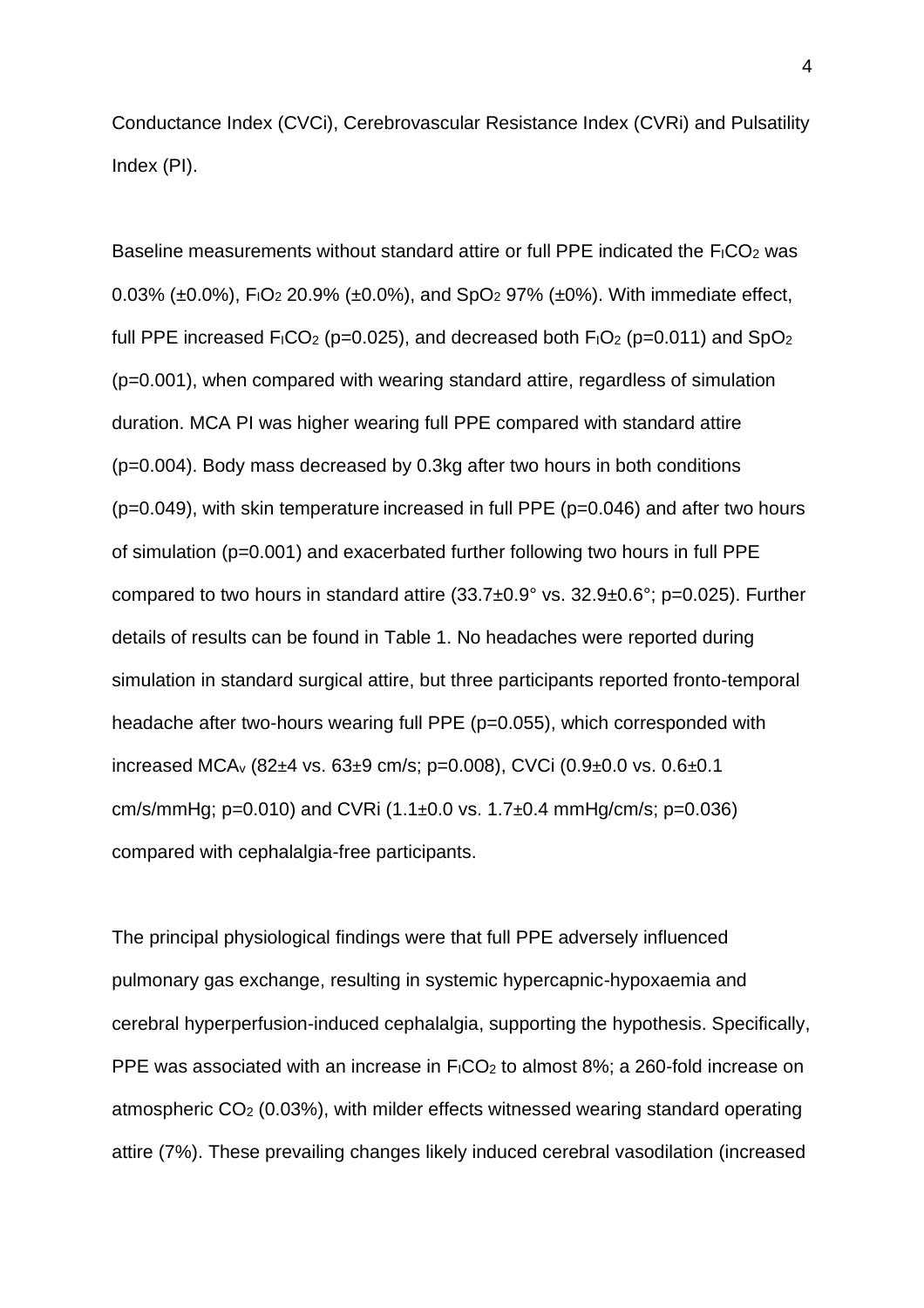Conductance Index (CVCi), Cerebrovascular Resistance Index (CVRi) and Pulsatility Index (PI).

Baseline measurements without standard attire or full PPE indicated the  $F_1CO_2$  was 0.03% ( $\pm$ 0.0%), F<sub>I</sub>O<sub>2</sub> 20.9% ( $\pm$ 0.0%), and SpO<sub>2</sub> 97% ( $\pm$ 0%). With immediate effect, full PPE increased  $F_1CO_2$  (p=0.025), and decreased both  $F_1O_2$  (p=0.011) and SpO<sub>2</sub> (p=0.001), when compared with wearing standard attire, regardless of simulation duration. MCA PI was higher wearing full PPE compared with standard attire (p=0.004). Body mass decreased by 0.3kg after two hours in both conditions (p=0.049), with skin temperature increased in full PPE (p=0.046) and after two hours of simulation (p=0.001) and exacerbated further following two hours in full PPE compared to two hours in standard attire (33.7±0.9° vs. 32.9±0.6°; p=0.025). Further details of results can be found in Table 1. No headaches were reported during simulation in standard surgical attire, but three participants reported fronto-temporal headache after two-hours wearing full PPE (p=0.055), which corresponded with increased MCA<sup>v</sup> (82±4 vs. 63±9 cm/s; p=0.008), CVCi (0.9±0.0 vs. 0.6±0.1 cm/s/mmHg; p=0.010) and CVRi  $(1.1\pm0.0 \text{ vs. } 1.7\pm0.4 \text{ mmHg/cm/s}; \text{ p}=0.036)$ compared with cephalalgia-free participants.

The principal physiological findings were that full PPE adversely influenced pulmonary gas exchange, resulting in systemic hypercapnic-hypoxaemia and cerebral hyperperfusion-induced cephalalgia, supporting the hypothesis. Specifically, PPE was associated with an increase in  $F_1CO_2$  to almost 8%; a 260-fold increase on atmospheric CO<sup>2</sup> (0.03%), with milder effects witnessed wearing standard operating attire (7%). These prevailing changes likely induced cerebral vasodilation (increased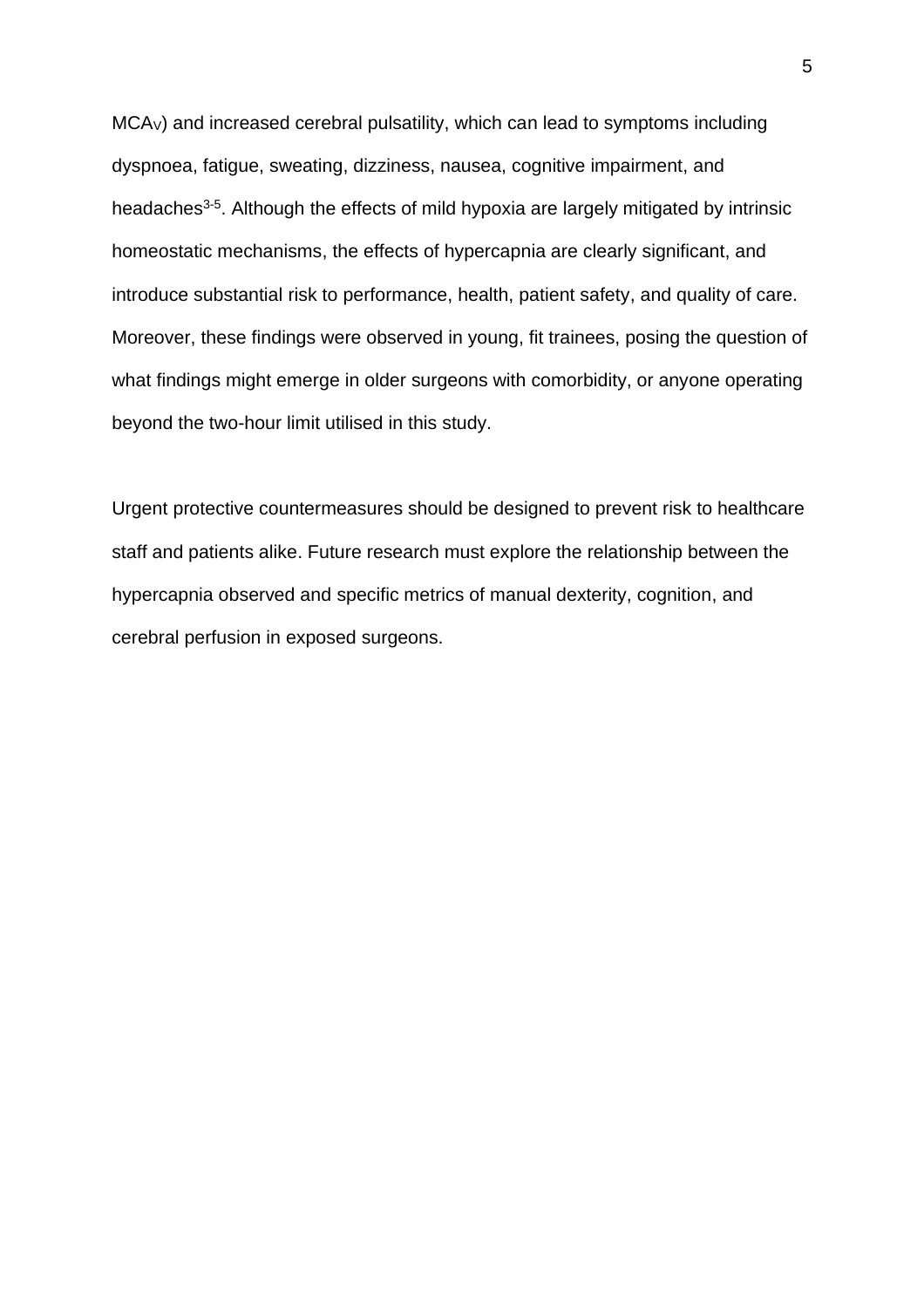MCAV) and increased cerebral pulsatility, which can lead to symptoms including dyspnoea, fatigue, sweating, dizziness, nausea, cognitive impairment, and headaches<sup>3-5</sup>. Although the effects of mild hypoxia are largely mitigated by intrinsic homeostatic mechanisms, the effects of hypercapnia are clearly significant, and introduce substantial risk to performance, health, patient safety, and quality of care. Moreover, these findings were observed in young, fit trainees, posing the question of what findings might emerge in older surgeons with comorbidity, or anyone operating beyond the two-hour limit utilised in this study.

Urgent protective countermeasures should be designed to prevent risk to healthcare staff and patients alike. Future research must explore the relationship between the hypercapnia observed and specific metrics of manual dexterity, cognition, and cerebral perfusion in exposed surgeons.